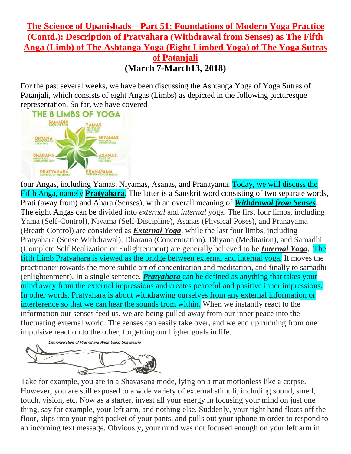## **The Science of Upanishads – Part 51: Foundations of Modern Yoga Practice (Contd.): Description of Pratyahara (Withdrawal from Senses) as The Fifth Anga (Limb) of The Ashtanga Yoga (Eight Limbed Yoga) of The Yoga Sutras of Patanjali (March 7-March13, 2018)**

For the past several weeks, we have been discussing the Ashtanga Yoga of Yoga Sutras of Patanjali, which consists of eight Angas (Limbs) as depicted in the following picturesque representation. So far, we have covered



four Angas, including Yamas, Niyamas, Asanas, and Pranayama. Today, we will discuss the Fifth Anga, namely **Pratyahara**. The latter is a Sanskrit word consisting of two separate words, Prati (away from) and Ahara (Senses), with an overall meaning of *Withdrawal from Senses*. The eight Angas can be divided into *external* and *internal* yoga. The first four limbs, including Yama (Self-Control), Niyama (Self-Discipline), Asanas (Physical Poses), and Pranayama (Breath Control) are considered as *External Yoga*, while the last four limbs, including Pratyahara (Sense Withdrawal), Dharana (Concentration), Dhyana (Meditation), and Samadhi (Complete Self Realization or Enlightenment) are generally believed to be *Internal Yoga*. The fifth Limb Pratyahara is viewed as the bridge between external and internal yoga. It moves the practitioner towards the more subtle art of concentration and meditation, and finally to samadhi (enlightenment). In a single sentence, *Pratyahara* can be defined as anything that takes your mind away from the external impressions and creates peaceful and positive inner impressions. In other words, Pratyahara is about withdrawing ourselves from any external information or interference so that we can hear the sounds from within. When we instantly react to the information our senses feed us, we are being pulled away from our inner peace into the fluctuating external world. The senses can easily take over, and we end up running from one impulsive reaction to the other, forgetting our higher goals in life.



Take for example, you are in a Shavasana mode, lying on a mat motionless like a corpse. However, you are still exposed to a wide variety of external stimuli, including sound, smell, touch, vision, etc. Now as a starter, invest all your energy in focusing your mind on just one thing, say for example, your left arm, and nothing else. Suddenly, your right hand floats off the floor, slips into your right pocket of your pants, and pulls out your iphone in order to respond to an incoming text message. Obviously, your mind was not focused enough on your left arm in